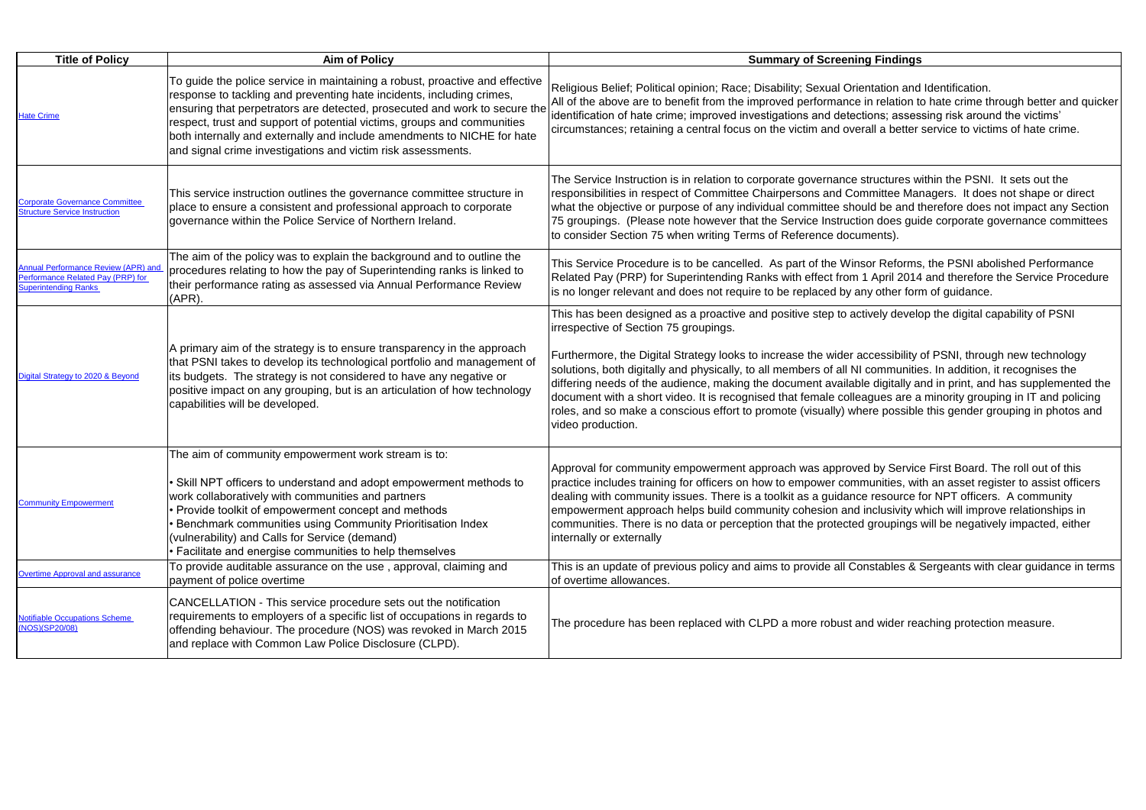| <b>Title of Policy</b>                                                                                         | <b>Aim of Policy</b>                                                                                                                                                                                                                                                                                                                                                                                                                                      | <b>Summary of Screening Findings</b>                                                                                                                                                                                                                                                                                                                                                                                                                                                                                                                   |
|----------------------------------------------------------------------------------------------------------------|-----------------------------------------------------------------------------------------------------------------------------------------------------------------------------------------------------------------------------------------------------------------------------------------------------------------------------------------------------------------------------------------------------------------------------------------------------------|--------------------------------------------------------------------------------------------------------------------------------------------------------------------------------------------------------------------------------------------------------------------------------------------------------------------------------------------------------------------------------------------------------------------------------------------------------------------------------------------------------------------------------------------------------|
| <b>Hate Crime</b>                                                                                              | To guide the police service in maintaining a robust, proactive and effective<br>response to tackling and preventing hate incidents, including crimes,<br>ensuring that perpetrators are detected, prosecuted and work to secure the<br>respect, trust and support of potential victims, groups and communities<br>both internally and externally and include amendments to NICHE for hate<br>and signal crime investigations and victim risk assessments. | Religious Belief; Political opinion; Race; Disability; Sexual Orientation and<br>All of the above are to benefit from the improved performance in relation to<br>identification of hate crime; improved investigations and detections; assess<br>circumstances; retaining a central focus on the victim and overall a better s                                                                                                                                                                                                                         |
| <b>Corporate Governance Committee</b><br><b>Structure Service Instruction</b>                                  | This service instruction outlines the governance committee structure in<br>place to ensure a consistent and professional approach to corporate<br>governance within the Police Service of Northern Ireland.                                                                                                                                                                                                                                               | The Service Instruction is in relation to corporate governance structures wi<br>responsibilities in respect of Committee Chairpersons and Committee Man<br>what the objective or purpose of any individual committee should be and th<br>75 groupings. (Please note however that the Service Instruction does guid<br>to consider Section 75 when writing Terms of Reference documents).                                                                                                                                                               |
| <b>Annual Performance Review (APR) and</b><br>Performance Related Pay (PRP) for<br><b>Superintending Ranks</b> | The aim of the policy was to explain the background and to outline the<br>procedures relating to how the pay of Superintending ranks is linked to<br>their performance rating as assessed via Annual Performance Review<br>$(APR)$ .                                                                                                                                                                                                                      | This Service Procedure is to be cancelled. As part of the Winsor Reforms,<br>Related Pay (PRP) for Superintending Ranks with effect from 1 April 2014<br>is no longer relevant and does not require to be replaced by any other form                                                                                                                                                                                                                                                                                                                   |
| Digital Strategy to 2020 & Beyond                                                                              | A primary aim of the strategy is to ensure transparency in the approach<br>that PSNI takes to develop its technological portfolio and management of<br>its budgets. The strategy is not considered to have any negative or<br>positive impact on any grouping, but is an articulation of how technology<br>capabilities will be developed.                                                                                                                | This has been designed as a proactive and positive step to actively develo<br>irrespective of Section 75 groupings.<br>Furthermore, the Digital Strategy looks to increase the wider accessibility of<br>solutions, both digitally and physically, to all members of all NI communitie<br>differing needs of the audience, making the document available digitally ar<br>document with a short video. It is recognised that female colleagues are a<br>roles, and so make a conscious effort to promote (visually) where possible<br>video production. |
| <b>Community Empowerment</b>                                                                                   | The aim of community empowerment work stream is to:<br>Skill NPT officers to understand and adopt empowerment methods to<br>work collaboratively with communities and partners<br>Provide toolkit of empowerment concept and methods<br>Benchmark communities using Community Prioritisation Index<br>(vulnerability) and Calls for Service (demand)<br>Facilitate and energise communities to help themselves                                            | Approval for community empowerment approach was approved by Service<br>practice includes training for officers on how to empower communities, wit<br>dealing with community issues. There is a toolkit as a guidance resource fo<br>empowerment approach helps build community cohesion and inclusivity w<br>communities. There is no data or perception that the protected groupings v<br>internally or externally                                                                                                                                    |
| <b>Overtime Approval and assurance</b>                                                                         | To provide auditable assurance on the use, approval, claiming and<br>payment of police overtime                                                                                                                                                                                                                                                                                                                                                           | This is an update of previous policy and aims to provide all Constables & S<br>of overtime allowances.                                                                                                                                                                                                                                                                                                                                                                                                                                                 |
| <b>Notifiable Occupations Scheme</b><br>(NOS)(SP20/08)                                                         | CANCELLATION - This service procedure sets out the notification<br>requirements to employers of a specific list of occupations in regards to<br>offending behaviour. The procedure (NOS) was revoked in March 2015<br>and replace with Common Law Police Disclosure (CLPD).                                                                                                                                                                               | The procedure has been replaced with CLPD a more robust and wider rea                                                                                                                                                                                                                                                                                                                                                                                                                                                                                  |

entation and Identification.

in relation to hate crime through better and quicker tions; assessing risk around the victims'

rall a better service to victims of hate crime.

structures within the PSNI. It sets out the mmittee Managers. It does not shape or direct uld be and therefore does not impact any Section on does guide corporate governance committees ments).

sor Reforms, the PSNI abolished Performance 1 April 2014 and therefore the Service Procedure ny other form of guidance.

tively develop the digital capability of PSNI

Iccessibility of PSNI, through new technology communities. In addition, it recognises the le digitally and in print, and has supplemented the agues are a minority grouping in IT and policing refe possible this gender grouping in photos and

ed by Service First Board. The roll out of this munities, with an asset register to assist officers e resource for NPT officers. A community inclusivity which will improve relationships in I groupings will be negatively impacted, either

Instables & Sergeants with clear guidance in terms

nd wider reaching protection measure.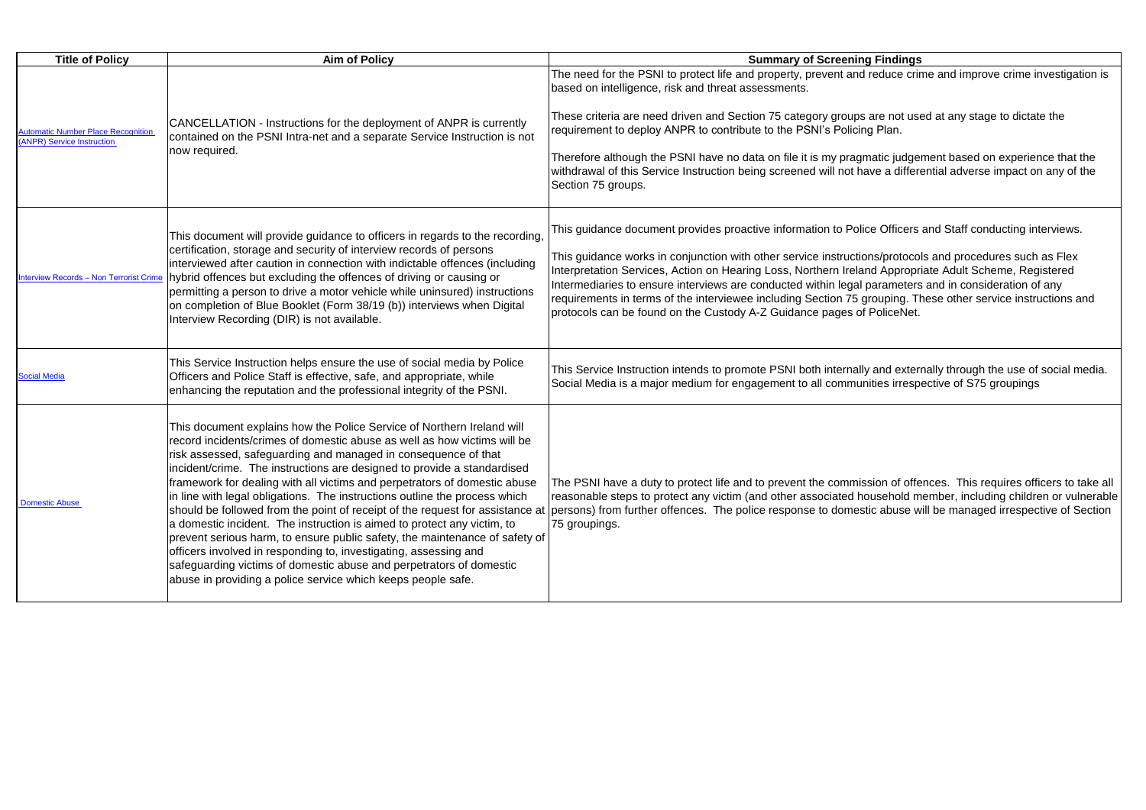| <b>Title of Policy</b>                                                        | <b>Aim of Policy</b>                                                                                                                                                                                                                                                                                                                                                                                                                                                                                                                                                                                                                                                                                                                                                                                                                                                                                                                                                                       | <b>Summary of Screening Findings</b>                                                                                                                                                                                                                                                                                                                                                                                                                                          |
|-------------------------------------------------------------------------------|--------------------------------------------------------------------------------------------------------------------------------------------------------------------------------------------------------------------------------------------------------------------------------------------------------------------------------------------------------------------------------------------------------------------------------------------------------------------------------------------------------------------------------------------------------------------------------------------------------------------------------------------------------------------------------------------------------------------------------------------------------------------------------------------------------------------------------------------------------------------------------------------------------------------------------------------------------------------------------------------|-------------------------------------------------------------------------------------------------------------------------------------------------------------------------------------------------------------------------------------------------------------------------------------------------------------------------------------------------------------------------------------------------------------------------------------------------------------------------------|
| <b>Automatic Number Place Recognition</b><br><b>ANPR)</b> Service Instruction | CANCELLATION - Instructions for the deployment of ANPR is currently<br>contained on the PSNI Intra-net and a separate Service Instruction is not<br>now required.                                                                                                                                                                                                                                                                                                                                                                                                                                                                                                                                                                                                                                                                                                                                                                                                                          | The need for the PSNI to protect life and property, prevent and reduce crin<br>based on intelligence, risk and threat assessments.<br>These criteria are need driven and Section 75 category groups are not use<br>requirement to deploy ANPR to contribute to the PSNI's Policing Plan.<br>Therefore although the PSNI have no data on file it is my pragmatic judger<br>withdrawal of this Service Instruction being screened will not have a differe<br>Section 75 groups. |
| <b>Interview Records - Non Terrorist Crime</b>                                | This document will provide guidance to officers in regards to the recording,<br>certification, storage and security of interview records of persons<br>interviewed after caution in connection with indictable offences (including<br>hybrid offences but excluding the offences of driving or causing or<br>permitting a person to drive a motor vehicle while uninsured) instructions<br>on completion of Blue Booklet (Form 38/19 (b)) interviews when Digital<br>Interview Recording (DIR) is not available.                                                                                                                                                                                                                                                                                                                                                                                                                                                                           | This guidance document provides proactive information to Police Officers a<br>This guidance works in conjunction with other service instructions/protocol<br>Interpretation Services, Action on Hearing Loss, Northern Ireland Appropri<br>Intermediaries to ensure interviews are conducted within legal parameters<br>requirements in terms of the interviewee including Section 75 grouping. Th<br>protocols can be found on the Custody A-Z Guidance pages of PoliceNet.  |
| <b>Social Media</b>                                                           | This Service Instruction helps ensure the use of social media by Police<br>Officers and Police Staff is effective, safe, and appropriate, while<br>enhancing the reputation and the professional integrity of the PSNI.                                                                                                                                                                                                                                                                                                                                                                                                                                                                                                                                                                                                                                                                                                                                                                    | This Service Instruction intends to promote PSNI both internally and exterr<br>Social Media is a major medium for engagement to all communities irrespe                                                                                                                                                                                                                                                                                                                       |
| Domestic Abuse                                                                | This document explains how the Police Service of Northern Ireland will<br>record incidents/crimes of domestic abuse as well as how victims will be<br>risk assessed, safeguarding and managed in consequence of that<br>incident/crime. The instructions are designed to provide a standardised<br>framework for dealing with all victims and perpetrators of domestic abuse<br>in line with legal obligations. The instructions outline the process which<br>should be followed from the point of receipt of the request for assistance at  persons) from further offences. The police response to domestic abuse wi<br>a domestic incident. The instruction is aimed to protect any victim, to<br>prevent serious harm, to ensure public safety, the maintenance of safety of<br>officers involved in responding to, investigating, assessing and<br>safeguarding victims of domestic abuse and perpetrators of domestic<br>abuse in providing a police service which keeps people safe. | The PSNI have a duty to protect life and to prevent the commission of offer<br>reasonable steps to protect any victim (and other associated household me<br>75 groupings.                                                                                                                                                                                                                                                                                                     |

I reduce crime and improve crime investigation is

are not used at any stage to dictate the ng Plan.

matic judgement based on experience that the nave a differential adverse impact on any of the

Iice Officers and Staff conducting interviews.

ions/protocols and procedures such as Flex and Appropriate Adult Scheme, Registered I parameters and in consideration of any grouping. These other service instructions and policeNet.

Ily and externally through the use of social media. inities irrespective of S75 groupings

ission of offences. This requires officers to take all nousehold member, including children or vulnerable stic abuse will be managed irrespective of Section